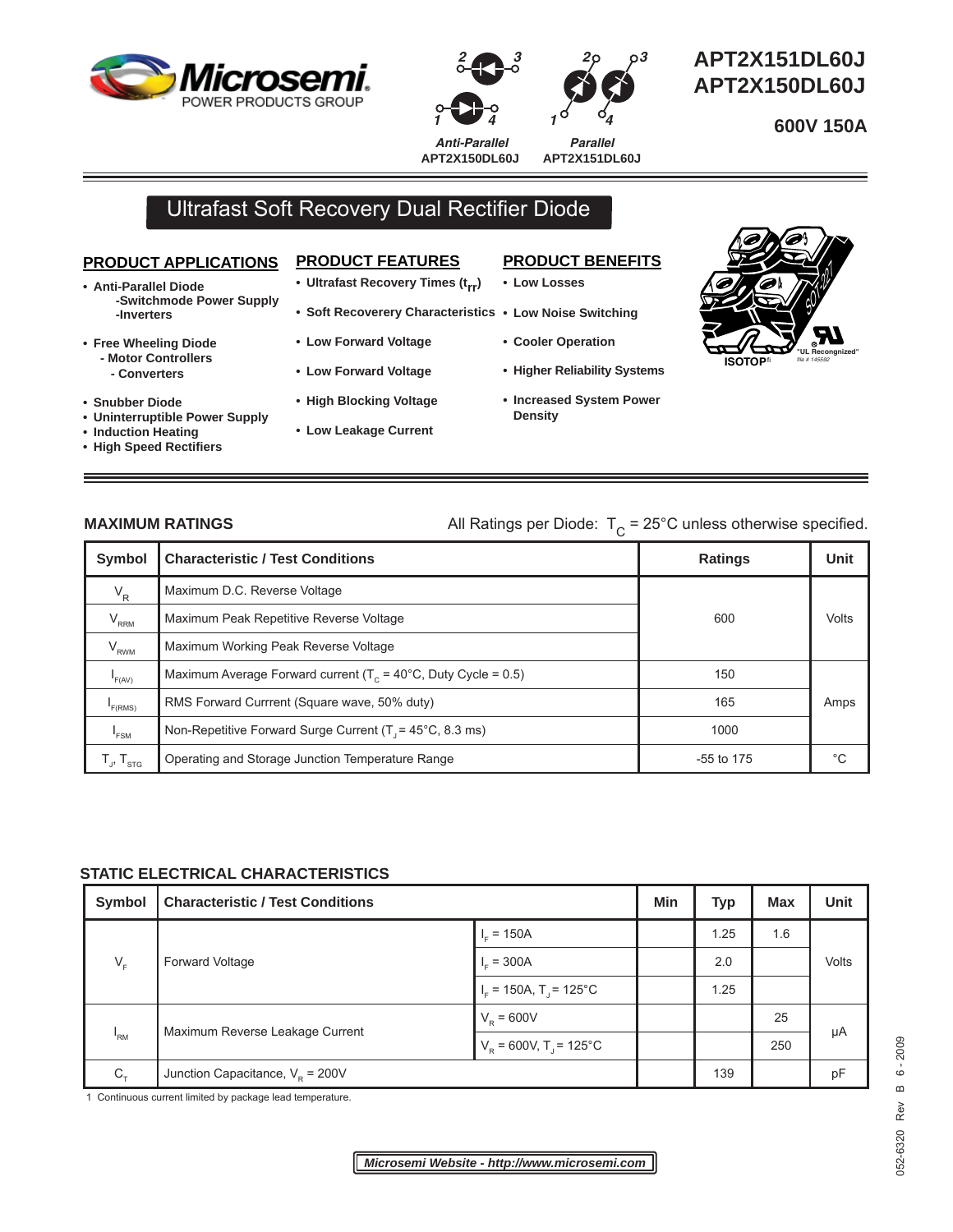





 **APT2X151DL60J APT2X150DL60J** 

**600V 150A**

*Anti-Parallel Parallel* **APT2X150DL60J**

**APT2X151DL60J**

*2*

# Ultrafast Soft Recovery Dual Rectifier Diode

### **PRODUCT APPLICATIONS**

- **Anti-Parallel Diode -Switchmode Power Supply -Inverters**
- **Free Wheeling Diode - Motor Controllers - Converters**
- **Snubber Diode**
- **Uninterruptible Power Supply**

and the control of the control of the control of the control of the control of the control of

- **Induction Heating**
- **High Speed Rectifi ers**

# **PRODUCT FEATURES**

- **Ultrafast Recovery Times (trr)**
- **Soft Recoverery Characteristics Low Noise Switching**
- **Low Forward Voltage**
- **Low Forward Voltage**
- **High Blocking Voltage**
- **Low Leakage Current**

## **PRODUCT BENEFITS**

**• Low Losses** 

*1*

- - **Cooler Operation**
	- **Higher Reliability Systems**
	- **Increased System Power Density**



<u> 1989 - Johann Stoff, deutscher Stoffen und der Stoffen und der Stoffen und der Stoffen und der Stoffen und der</u>

# **MAXIMUM RATINGS** All Ratings per Diode:  $T_c = 25^\circ \text{C}$  unless otherwise specified.

| <b>Symbol</b>                                                                             | <b>Characteristic / Test Conditions</b>                                  | <b>Ratings</b> | Unit  |
|-------------------------------------------------------------------------------------------|--------------------------------------------------------------------------|----------------|-------|
| $V_R$                                                                                     | Maximum D.C. Reverse Voltage                                             |                |       |
| $V_{\rm RRM}$                                                                             | Maximum Peak Repetitive Reverse Voltage                                  | 600            | Volts |
| $V_{RWM}$                                                                                 | Maximum Working Peak Reverse Voltage                                     |                |       |
| F(AV)                                                                                     | Maximum Average Forward current ( $T_c$ = 40°C, Duty Cycle = 0.5)        | 150            |       |
| F(RMS)                                                                                    | RMS Forward Currrent (Square wave, 50% duty)                             | 165            | Amps  |
| $I_{FSM}$                                                                                 | Non-Repetitive Forward Surge Current $(T = 45^{\circ}C, 8.3 \text{ ms})$ | 1000           |       |
| $\mathsf{T}_{\scriptscriptstyle \mathsf{J}},\mathsf{T}_{\scriptscriptstyle \mathsf{STG}}$ | Operating and Storage Junction Temperature Range                         | $-55$ to 175   | °€    |

### **STATIC ELECTRICAL CHARACTERISTICS**

| <b>Symbol</b>   | <b>Characteristic / Test Conditions</b> |                                            | Min | Typ  | <b>Max</b> | Unit  |
|-----------------|-----------------------------------------|--------------------------------------------|-----|------|------------|-------|
| $V_F$           | Forward Voltage                         | $\  \cdot \ _{F} = 150A$                   |     | 1.25 | 1.6        | Volts |
|                 |                                         | $I_{\rm c} = 300$ A                        |     | 2.0  |            |       |
|                 |                                         | $I_{\rm F}$ = 150A, T <sub>J</sub> = 125°C |     | 1.25 |            |       |
| <sup>'</sup> RM | Maximum Reverse Leakage Current         | $V_{\rm R} = 600V$                         |     |      | 25         | μA    |
|                 |                                         | $V_{\rm R}$ = 600V, T <sub>J</sub> = 125°C |     |      | 250        |       |
| $C_{\tau}$      | Junction Capacitance, $VR = 200V$       |                                            |     | 139  |            | pF    |

1 Continuous current limited by package lead temperature.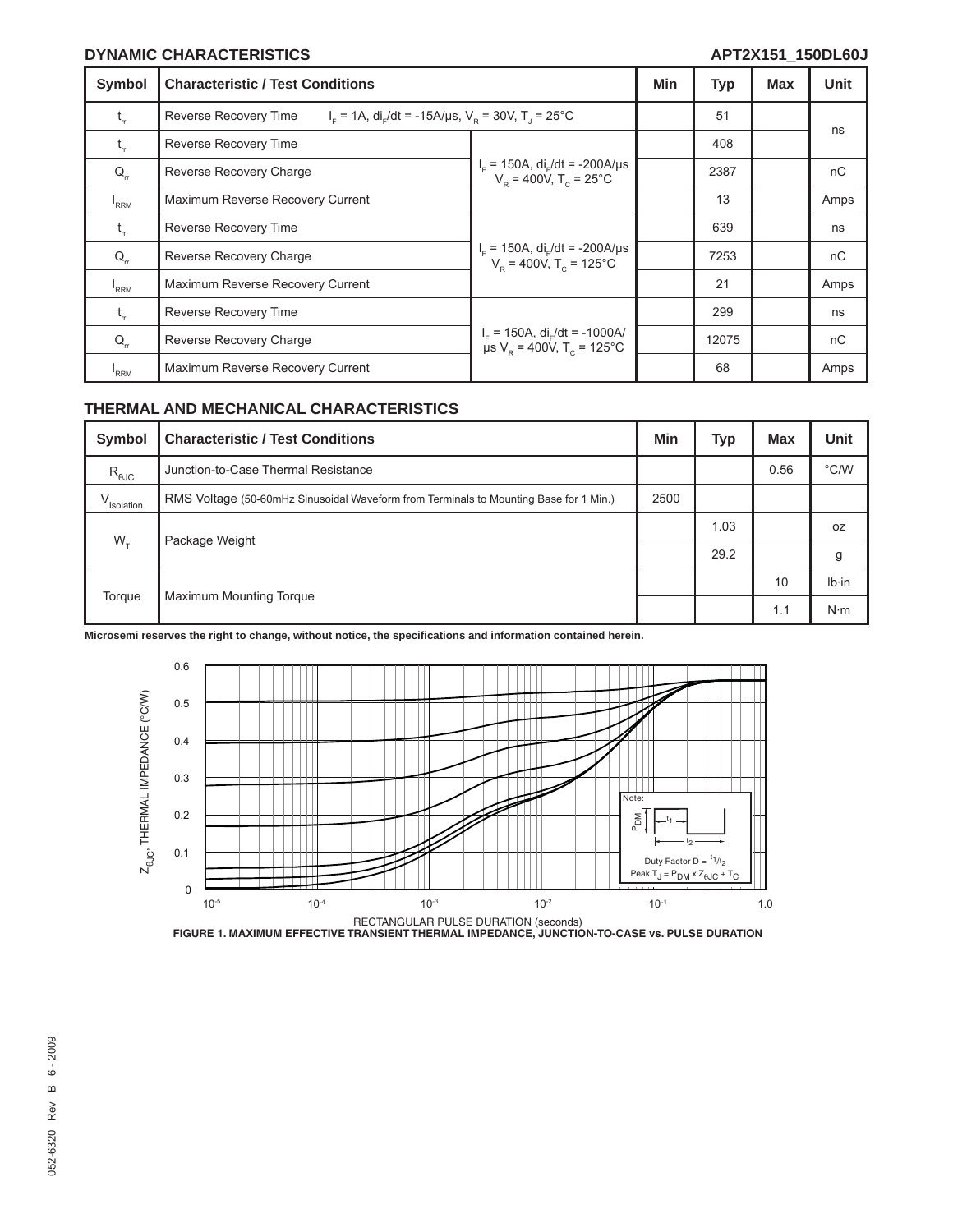#### **DYNAMIC CHARACTERISTICS APT2X151\_150DL60J**

| Symbol           | <b>Characteristic / Test Conditions</b>                                                                                     |                                                                                                | Min | Typ   | Max | <b>Unit</b> |
|------------------|-----------------------------------------------------------------------------------------------------------------------------|------------------------------------------------------------------------------------------------|-----|-------|-----|-------------|
| $t_{\rm m}$      | $IF$ = 1A, di <sub>r</sub> /dt = -15A/µs, V <sub>p</sub> = 30V, T <sub>1</sub> = 25 <sup>o</sup> C<br>Reverse Recovery Time |                                                                                                |     | 51    |     |             |
| $t_{rr}$         | Reverse Recovery Time                                                                                                       | $I_F = 150A$ , di <sub>r</sub> /dt = -200A/µs<br>V <sub>R</sub> = 400V, T <sub>C</sub> = 25°C  |     | 408   |     | ns          |
| $Q_{rr}$         | Reverse Recovery Charge                                                                                                     |                                                                                                |     | 2387  |     | nC          |
| $I_{RRM}$        | Maximum Reverse Recovery Current                                                                                            |                                                                                                |     | 13    |     | Amps        |
| $t_{rr}$         | Reverse Recovery Time                                                                                                       | $I_F = 150A$ , di <sub>r</sub> /dt = -200A/µs<br>V <sub>R</sub> = 400V, T <sub>C</sub> = 125°C |     | 639   |     | ns          |
| $Q_{\rm r}$      | Reverse Recovery Charge                                                                                                     |                                                                                                |     | 7253  |     | nC          |
| $I_{RRM}$        | Maximum Reverse Recovery Current                                                                                            |                                                                                                |     | 21    |     | Amps        |
| t,               | Reverse Recovery Time                                                                                                       | $I_F$ = 150A, $di_F/dt$ = -1000A/<br>$\mu s$ V <sub>p</sub> = 400V, T <sub>c</sub> = 125°C     |     | 299   |     | ns          |
| $Q_{\rm r}$      | Reverse Recovery Charge                                                                                                     |                                                                                                |     | 12075 |     | nC          |
| <sup>1</sup> RRM | Maximum Reverse Recovery Current                                                                                            |                                                                                                |     | 68    |     | Amps        |

#### **THERMAL AND MECHANICAL CHARACTERISTICS**

| Symbol          | <b>Characteristic / Test Conditions</b>                                               | Min  | <b>Typ</b> | <b>Max</b> | <b>Unit</b>   |
|-----------------|---------------------------------------------------------------------------------------|------|------------|------------|---------------|
| $R_{\theta JC}$ | Junction-to-Case Thermal Resistance                                                   |      |            | 0.56       | $\degree$ C/W |
| V<br>Isolation  | RMS Voltage (50-60mHz Sinusoidal Waveform from Terminals to Mounting Base for 1 Min.) | 2500 |            |            |               |
| $W_{\tau}$      | Package Weight                                                                        |      | 1.03       |            | 0Z            |
|                 |                                                                                       |      | 29.2       |            | g             |
| Torque          | <b>Maximum Mounting Torque</b>                                                        |      |            | 10         | $Ib \cdot in$ |
|                 |                                                                                       |      |            | 1.1        | $N \cdot m$   |

**Microsemi reserves the right to change, without notice, the specifi cations and information contained herein.**



RECTANGULAR PULSE DURATION (seconds) **FIGURE 1. MAXIMUM EFFECTIVE TRANSIENT THERMAL IMPEDANCE, JUNCTION-TO-CASE vs. PULSE DURATION**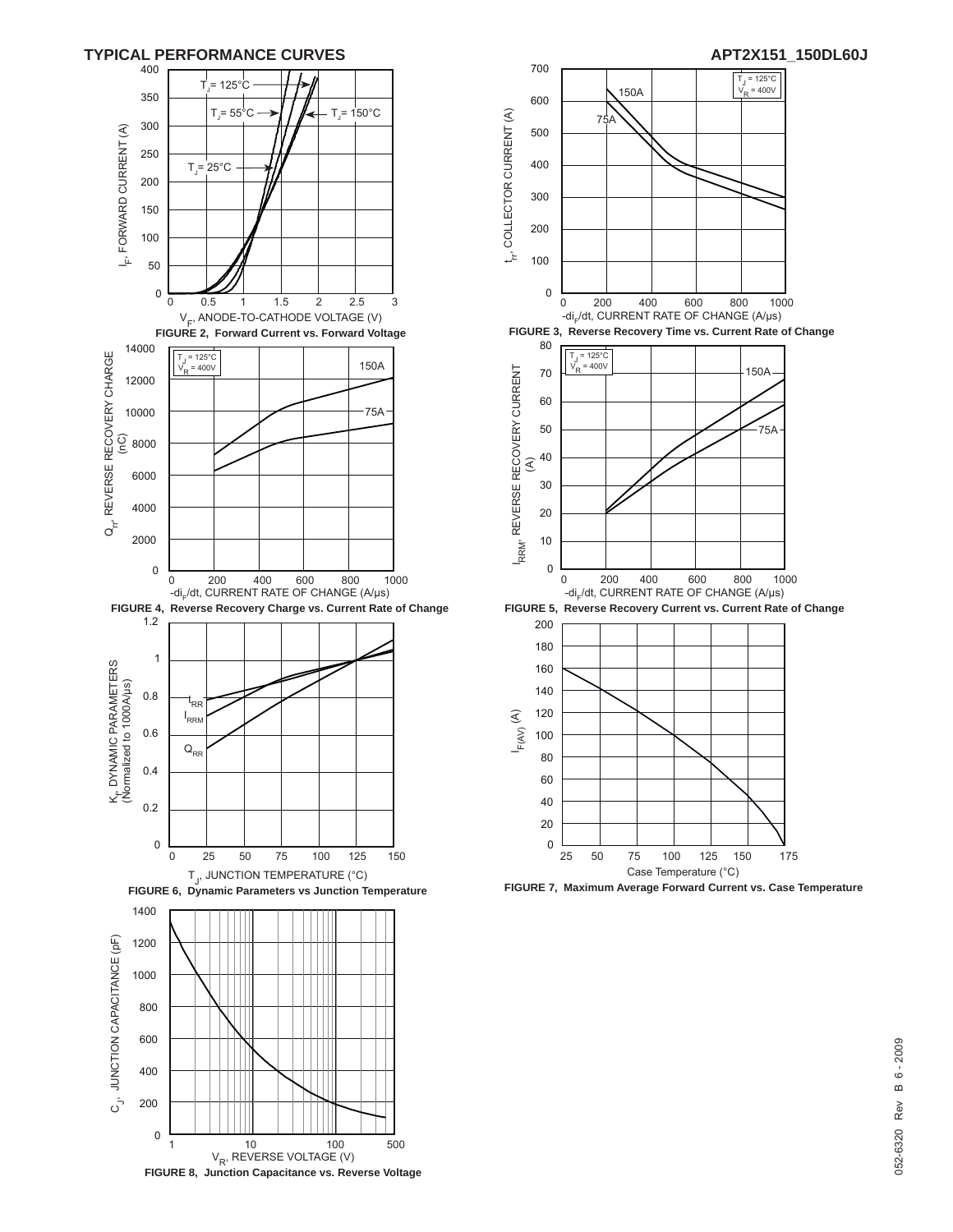



**FIGURE 7, Maximum Average Forward Current vs. Case Temperature**